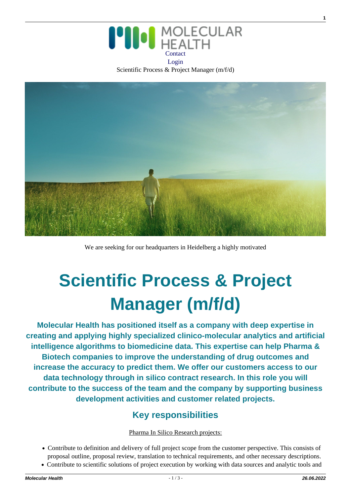

Scientific Process & Project Manager (m/f/d)



We are seeking for our headquarters in Heidelberg a highly motivated

# **Scientific Process & Project Manager (m/f/d)**

**Molecular Health has positioned itself as a company with deep expertise in creating and applying highly specialized clinico-molecular analytics and artificial intelligence algorithms to biomedicine data. This expertise can help Pharma & Biotech companies to improve the understanding of drug outcomes and increase the accuracy to predict them. We offer our customers access to our data technology through in silico contract research. In this role you will contribute to the success of the team and the company by supporting business development activities and customer related projects.**

# **Key responsibilities**

#### Pharma In Silico Research projects:

- Contribute to definition and delivery of full project scope from the customer perspective. This consists of proposal outline, proposal review, translation to technical requirements, and other necessary descriptions.
- Contribute to scientific solutions of project execution by working with data sources and analytic tools and

**1**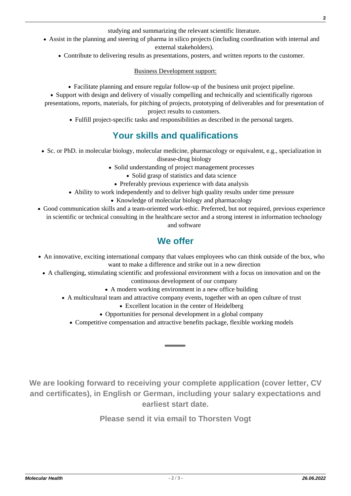studying and summarizing the relevant scientific literature.

- Assist in the planning and steering of pharma in silico projects (including coordination with internal and external stakeholders).
	- Contribute to delivering results as presentations, posters, and written reports to the customer.

Business Development support:

Facilitate planning and ensure regular follow-up of the business unit project pipeline.

• Support with design and delivery of visually compelling and technically and scientifically rigorous presentations, reports, materials, for pitching of projects, prototyping of deliverables and for presentation of project results to customers.

Fulfill project-specific tasks and responsibilities as described in the personal targets.

### **Your skills and qualifications**

- Sc. or PhD. in molecular biology, molecular medicine, pharmacology or equivalent, e.g., specialization in disease-drug biology
	- Solid understanding of project management processes
		- Solid grasp of statistics and data science
		- Preferably previous experience with data analysis
	- Ability to work independently and to deliver high quality results under time pressure
		- Knowledge of molecular biology and pharmacology
- Good communication skills and a team-oriented work-ethic. Preferred, but not required, previous experience in scientific or technical consulting in the healthcare sector and a strong interest in information technology and software

#### **We offer**

- An innovative, exciting international company that values employees who can think outside of the box, who want to make a difference and strike out in a new direction
- A challenging, stimulating scientific and professional environment with a focus on innovation and on the continuous development of our company
	- A modern working environment in a new office building
	- A multicultural team and attractive company events, together with an open culture of trust
		- Excellent location in the center of Heidelberg
		- Opportunities for personal development in a global company
		- Competitive compensation and attractive benefits package, flexible working models

**We are looking forward to receiving your complete application (cover letter, CV and certificates), in English or German, including your salary expectations and earliest start date.**

**Please send it via email to Thorsten Vogt**

**2**